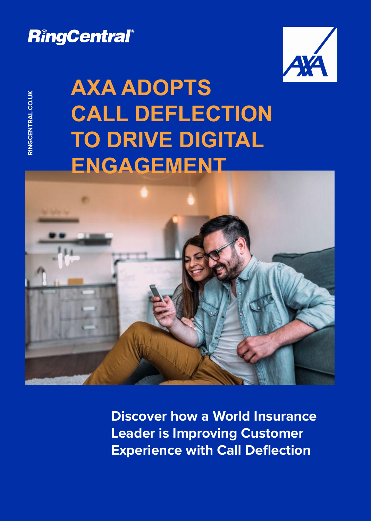## RingCentral®



# **RINGCAXA ADOPTS<br>CALL DEFLECT<br>TO DRIVE DIGIT CALL DEFLECTION TO DRIVE DIGITAL ENGAGEMENT**



**Discover how a World Insurance Leader is Improving Customer Experience with Call Deflection**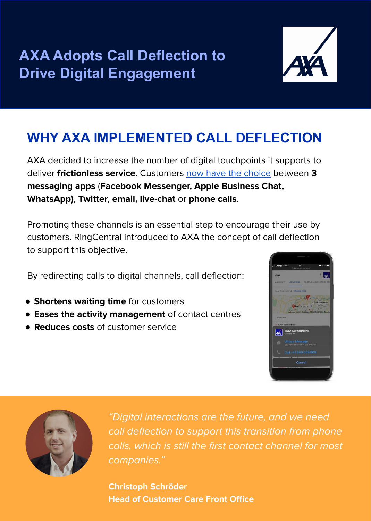**AXA Adopts Call Deflection to Drive Digital Engagement**



### **WHY AXA IMPLEMENTED CALL DEFLECTION**

AXA decided to increase the number of digital touchpoints it supports to deliver **frictionless service**. Customers [now have the choice](https://www.axa.ch/en/private-customers/contact-services/contact/general-contact.html) between **3 messaging apps** (**Facebook Messenger, Apple Business Chat, WhatsApp)**, **Twitter**, **email, live-chat** or **phone calls**.

Promoting these channels is an essential step to encourage their use by customers. RingCentral introduced to AXA the concept of call deflection to support this objective.

By redirecting calls to digital channels, call deflection:

- **Shortens waiting time** for customers
- **Eases the activity management** of contact centres
- **Reduces costs** of customer service





"Digital interactions are the future, and we need call deflection to support this transition from phone calls, which is still the first contact channel for most companies."

**Christoph Schröder Head of Customer Care Front Office**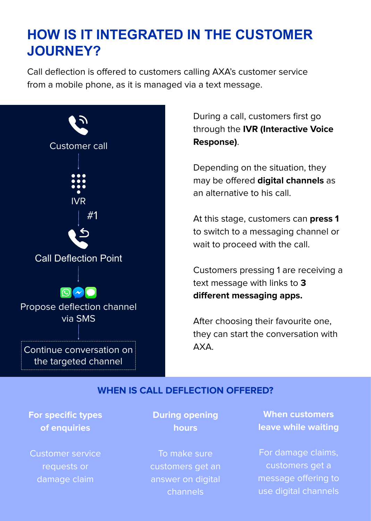### **HOW IS IT INTEGRATED IN THE CUSTOMER JOURNEY?**

Call deflection is offered to customers calling AXA's customer service from a mobile phone, as it is managed via a text message.



During a call, customers first go through the **IVR (Interactive Voice Response)**.

Depending on the situation, they may be offered **digital channels** as an alternative to his call.

At this stage, customers can **press 1**  to switch to a messaging channel or wait to proceed with the call.

Customers pressing 1 are receiving a text message with links to **3 different messaging apps.** 

After choosing their favourite one, they can start the conversation with AXA.

#### **WHEN IS CALL DEFLECTION OFFERED?**

#### **For specific types of enquiries**

Customer service requests or damage claim

#### **During opening hours**

To make sure customers get an answer on digital channels

**When customers leave while waiting**

For damage claims, customers get a message offering to use digital channels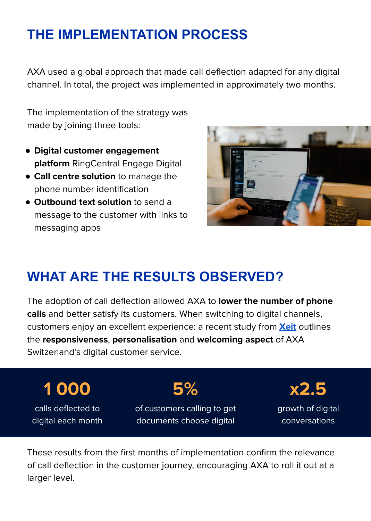### **THE IMPLEMENTATION PROCESS**

AXA used a global approach that made call deflection adapted for any digital channel. In total, the project was implemented in approximately two months.

The implementation of the strategy was made by joining three tools:

- **Digital customer engagement platform** RingCentral Engage Digital
- **Call centre solution** to manage the phone number identification
- **Outbound text solution** to send a message to the customer with links to messaging apps



### **WHAT ARE THE RESULTS OBSERVED?**

The adoption of call deflection allowed AXA to **lower the number of phone calls** and better satisfy its customers. When switching to digital channels, customers enjoy an excellent experience: a recent study from **[Xeit](https://blog.xeit.ch/2020/09/social-media-check-10-schweizer-versicherungen-im-vergleich/)** outlines the **responsiveness**, **personalisation** and **welcoming aspect** of AXA Switzerland's digital customer service.

**1 000** calls deflected to digital each month **5%** of customers calling to get documents choose digital **x2.5** growth of digital conversations

These results from the first months of implementation confirm the relevance of call deflection in the customer journey, encouraging AXA to roll it out at a larger level.